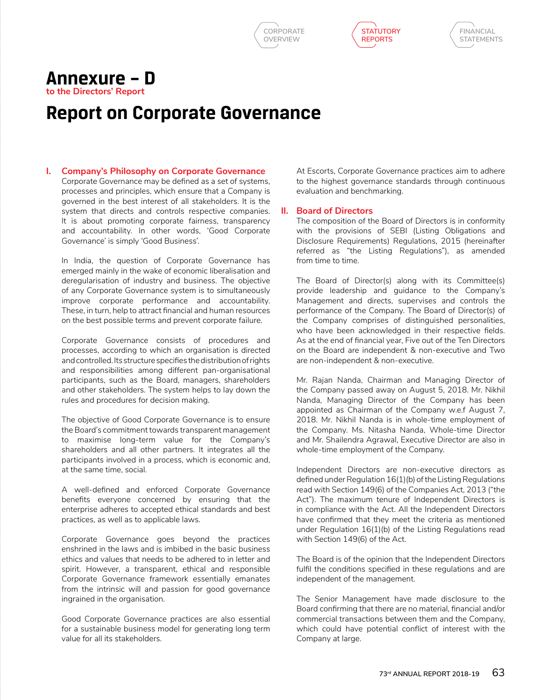





## **Annexure – D to the Directors' Report**

## **Report on Corporate Governance**

## **I. Company's Philosophy on Corporate Governance**

Corporate Governance may be defined as a set of systems, processes and principles, which ensure that a Company is governed in the best interest of all stakeholders. It is the system that directs and controls respective companies. It is about promoting corporate fairness, transparency and accountability. In other words, 'Good Corporate Governance' is simply 'Good Business'.

In India, the question of Corporate Governance has emerged mainly in the wake of economic liberalisation and deregularisation of industry and business. The objective of any Corporate Governance system is to simultaneously improve corporate performance and accountability. These, in turn, help to attract financial and human resources on the best possible terms and prevent corporate failure.

 Corporate Governance consists of procedures and processes, according to which an organisation is directed and controlled. Its structure specifies the distribution of rights and responsibilities among different pan-organisational participants, such as the Board, managers, shareholders and other stakeholders. The system helps to lay down the rules and procedures for decision making.

The objective of Good Corporate Governance is to ensure the Board's commitment towards transparent management to maximise long-term value for the Company's shareholders and all other partners. It integrates all the participants involved in a process, which is economic and, at the same time, social.

A well-defined and enforced Corporate Governance benefits everyone concerned by ensuring that the enterprise adheres to accepted ethical standards and best practices, as well as to applicable laws.

Corporate Governance goes beyond the practices enshrined in the laws and is imbibed in the basic business ethics and values that needs to be adhered to in letter and spirit. However, a transparent, ethical and responsible Corporate Governance framework essentially emanates from the intrinsic will and passion for good governance ingrained in the organisation.

 Good Corporate Governance practices are also essential for a sustainable business model for generating long term value for all its stakeholders.

At Escorts, Corporate Governance practices aim to adhere to the highest governance standards through continuous evaluation and benchmarking.

## **II. Board of Directors**

The composition of the Board of Directors is in conformity with the provisions of SEBI (Listing Obligations and Disclosure Requirements) Regulations, 2015 (hereinafter referred as "the Listing Regulations"), as amended from time to time.

The Board of Director(s) along with its Committee(s) provide leadership and guidance to the Company's Management and directs, supervises and controls the performance of the Company. The Board of Director(s) of the Company comprises of distinguished personalities, who have been acknowledged in their respective fields. As at the end of financial year, Five out of the Ten Directors on the Board are independent & non-executive and Two are non-independent & non-executive.

Mr. Rajan Nanda, Chairman and Managing Director of the Company passed away on August 5, 2018. Mr. Nikhil Nanda, Managing Director of the Company has been appointed as Chairman of the Company w.e.f August 7, 2018. Mr. Nikhil Nanda is in whole-time employment of the Company. Ms. Nitasha Nanda, Whole-time Director and Mr. Shailendra Agrawal, Executive Director are also in whole-time employment of the Company.

Independent Directors are non-executive directors as defined under Regulation 16(1)(b) of the Listing Regulations read with Section 149(6) of the Companies Act, 2013 ("the Act"). The maximum tenure of Independent Directors is in compliance with the Act. All the Independent Directors have confirmed that they meet the criteria as mentioned under Regulation 16(1)(b) of the Listing Regulations read with Section 149(6) of the Act.

The Board is of the opinion that the Independent Directors fulfil the conditions specified in these regulations and are independent of the management.

The Senior Management have made disclosure to the Board confirming that there are no material, financial and/or commercial transactions between them and the Company, which could have potential conflict of interest with the Company at large.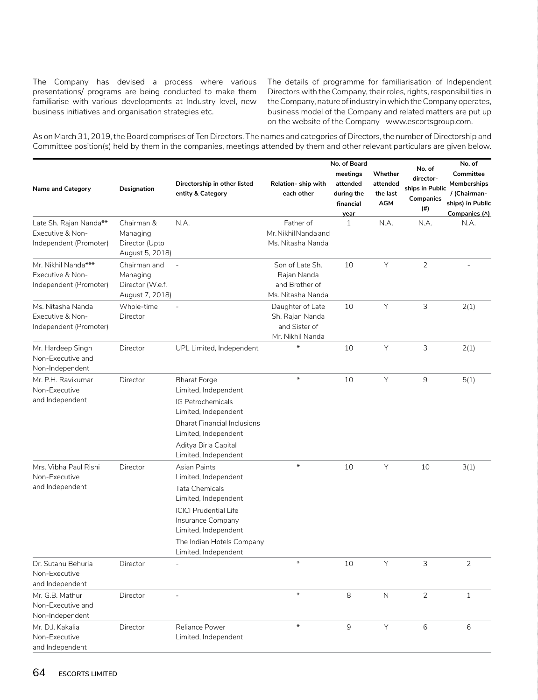The Company has devised a process where various presentations/ programs are being conducted to make them familiarise with various developments at Industry level, new business initiatives and organisation strategies etc.

The details of programme for familiarisation of Independent Directors with the Company, their roles, rights, responsibilities in the Company, nature of industry in which the Company operates, business model of the Company and related matters are put up on the website of the Company –www.escortsgroup.com.

As on March 31, 2019, the Board comprises of Ten Directors. The names and categories of Directors, the number of Directorship and Committee position(s) held by them in the companies, meetings attended by them and other relevant particulars are given below.

|                                                                      |                                                                 |                                                                                                                                                                                                                                                 |                                                                          | No. of Board                                            |                                        | No. of                                           | No. of                                                                               |
|----------------------------------------------------------------------|-----------------------------------------------------------------|-------------------------------------------------------------------------------------------------------------------------------------------------------------------------------------------------------------------------------------------------|--------------------------------------------------------------------------|---------------------------------------------------------|----------------------------------------|--------------------------------------------------|--------------------------------------------------------------------------------------|
| <b>Name and Category</b>                                             | Designation                                                     | Directorship in other listed<br>entity & Category                                                                                                                                                                                               | Relation- ship with<br>each other                                        | meetings<br>attended<br>during the<br>financial<br>year | Whether<br>attended<br>the last<br>AGM | director-<br>ships in Public<br>Companies<br>(#) | Committee<br><b>Memberships</b><br>/ (Chairman-<br>ships) in Public<br>Companies (^) |
| Late Sh. Rajan Nanda**<br>Executive & Non-<br>Independent (Promoter) | Chairman &<br>Managing<br>Director (Upto<br>August 5, 2018)     | N.A.                                                                                                                                                                                                                                            | Father of<br>Mr. Nikhil Nanda and<br>Ms. Nitasha Nanda                   | $\mathbf{1}$                                            | N.A.                                   | N.A.                                             | N.A.                                                                                 |
| Mr. Nikhil Nanda***<br>Executive & Non-<br>Independent (Promoter)    | Chairman and<br>Managing<br>Director (W.e.f.<br>August 7, 2018) | $\overline{a}$                                                                                                                                                                                                                                  | Son of Late Sh.<br>Rajan Nanda<br>and Brother of<br>Ms. Nitasha Nanda    | 10                                                      | Υ                                      | $\overline{2}$                                   |                                                                                      |
| Ms. Nitasha Nanda<br>Executive & Non-<br>Independent (Promoter)      | Whole-time<br>Director                                          |                                                                                                                                                                                                                                                 | Daughter of Late<br>Sh. Rajan Nanda<br>and Sister of<br>Mr. Nikhil Nanda | 10                                                      | Υ                                      | 3                                                | 2(1)                                                                                 |
| Mr. Hardeep Singh<br>Non-Executive and<br>Non-Independent            | Director                                                        | UPL Limited, Independent                                                                                                                                                                                                                        | $\star$                                                                  | 10                                                      | Y                                      | 3                                                | 2(1)                                                                                 |
| Mr. P.H. Ravikumar<br>Non-Executive<br>and Independent               | Director                                                        | <b>Bharat Forge</b><br>Limited, Independent<br>IG Petrochemicals<br>Limited, Independent<br><b>Bharat Financial Inclusions</b><br>Limited, Independent<br>Aditya Birla Capital                                                                  | $\ast$                                                                   | 10                                                      | Y                                      | $\mathsf 9$                                      | 5(1)                                                                                 |
| Mrs. Vibha Paul Rishi<br>Non-Executive<br>and Independent            | Director                                                        | Limited, Independent<br>Asian Paints<br>Limited, Independent<br><b>Tata Chemicals</b><br>Limited, Independent<br><b>ICICI Prudential Life</b><br>Insurance Company<br>Limited, Independent<br>The Indian Hotels Company<br>Limited, Independent | $\ast$                                                                   | 10                                                      | Y                                      | 10                                               | 3(1)                                                                                 |
| Dr. Sutanu Behuria<br>Non-Executive<br>and Independent               | Director                                                        |                                                                                                                                                                                                                                                 | $\ast$                                                                   | 10                                                      | Υ                                      | 3                                                | 2                                                                                    |
| Mr. G.B. Mathur<br>Non-Executive and<br>Non-Independent              | Director                                                        |                                                                                                                                                                                                                                                 | $\ast$                                                                   | 8                                                       | $\mathsf{N}$                           | $\overline{2}$                                   | $\mathbf{1}$                                                                         |
| Mr. D.J. Kakalia<br>Non-Executive<br>and Independent                 | Director                                                        | Reliance Power<br>Limited, Independent                                                                                                                                                                                                          | $\ast$                                                                   | 9                                                       | Υ                                      | 6                                                | 6                                                                                    |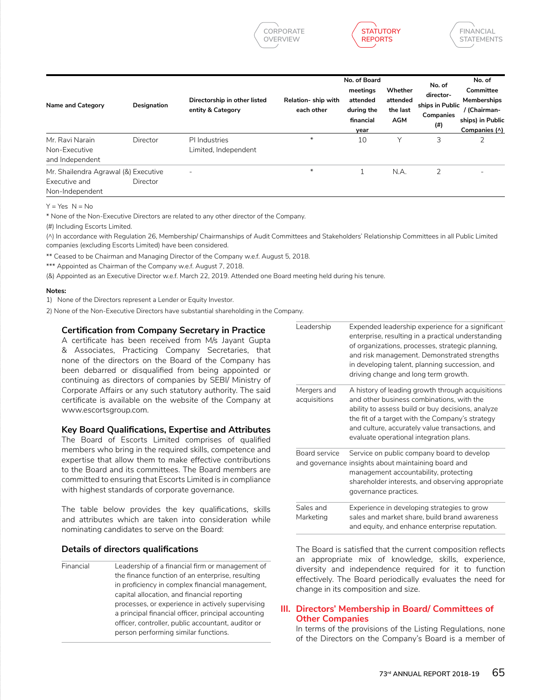



| Name and Category                                                        | Designation | Directorship in other listed<br>entity & Category | Relation-ship with<br>each other | No. of Board<br>meetings<br>attended<br>during the<br>financial<br>year | Whether<br>attended<br>the last<br><b>AGM</b> | No. of<br>director-<br>ships in Public<br>Companies<br>(#) | No. of<br>Committee<br><b>Memberships</b><br>/ (Chairman-<br>ships) in Public<br>Companies (^) |
|--------------------------------------------------------------------------|-------------|---------------------------------------------------|----------------------------------|-------------------------------------------------------------------------|-----------------------------------------------|------------------------------------------------------------|------------------------------------------------------------------------------------------------|
| Mr. Ravi Narain<br>Non-Executive<br>and Independent                      | Director    | PI Industries<br>Limited, Independent             | $\ast$                           | 10                                                                      | Υ                                             | 3                                                          |                                                                                                |
| Mr. Shailendra Agrawal (&) Executive<br>Executive and<br>Non-Independent | Director    | $\overline{\phantom{a}}$                          | $\ast$                           |                                                                         | N.A.                                          | 2                                                          |                                                                                                |

 $Y = Y eS \cap N = N_0$ 

\* None of the Non-Executive Directors are related to any other director of the Company.

(#) Including Escorts Limited.

(^) In accordance with Regulation 26, Membership/ Chairmanships of Audit Committees and Stakeholders' Relationship Committees in all Public Limited companies (excluding Escorts Limited) have been considered.

\*\* Ceased to be Chairman and Managing Director of the Company w.e.f. August 5, 2018.

\*\*\* Appointed as Chairman of the Company w.e.f. August 7, 2018.

(&) Appointed as an Executive Director w.e.f. March 22, 2019. Attended one Board meeting held during his tenure.

**Notes:**

1) None of the Directors represent a Lender or Equity Investor.

2) None of the Non-Executive Directors have substantial shareholding in the Company.

## **Certification from Company Secretary in Practice**

A certificate has been received from M/s Jayant Gupta & Associates, Practicing Company Secretaries, that none of the directors on the Board of the Company has been debarred or disqualified from being appointed or continuing as directors of companies by SEBI/ Ministry of Corporate Affairs or any such statutory authority. The said certificate is available on the website of the Company at www.escortsgroup.com.

### **Key Board Qualifications, Expertise and Attributes**

The Board of Escorts Limited comprises of qualified members who bring in the required skills, competence and expertise that allow them to make effective contributions to the Board and its committees. The Board members are committed to ensuring that Escorts Limited is in compliance with highest standards of corporate governance.

The table below provides the key qualifications, skills and attributes which are taken into consideration while nominating candidates to serve on the Board:

## **Details of directors qualifications**

Financial Leadership of a financial firm or management of the finance function of an enterprise, resulting in proficiency in complex financial management, capital allocation, and financial reporting processes, or experience in actively supervising a principal financial officer, principal accounting officer, controller, public accountant, auditor or person performing similar functions.

| Leadership                  | Expended leadership experience for a significant<br>enterprise, resulting in a practical understanding<br>of organizations, processes, strategic planning,<br>and risk management. Demonstrated strengths<br>in developing talent, planning succession, and<br>driving change and long term growth. |
|-----------------------------|-----------------------------------------------------------------------------------------------------------------------------------------------------------------------------------------------------------------------------------------------------------------------------------------------------|
| Mergers and<br>acquisitions | A history of leading growth through acquisitions<br>and other business combinations, with the<br>ability to assess build or buy decisions, analyze<br>the fit of a target with the Company's strategy<br>and culture, accurately value transactions, and<br>evaluate operational integration plans. |
| Board service               | Service on public company board to develop<br>and governance insights about maintaining board and<br>management accountability, protecting<br>shareholder interests, and observing appropriate<br>governance practices.                                                                             |
| Sales and<br>Marketing      | Experience in developing strategies to grow<br>sales and market share, build brand awareness<br>and equity, and enhance enterprise reputation.                                                                                                                                                      |

The Board is satisfied that the current composition reflects an appropriate mix of knowledge, skills, experience, diversity and independence required for it to function effectively. The Board periodically evaluates the need for change in its composition and size.

## **III. Directors' Membership in Board/ Committees of Other Companies**

In terms of the provisions of the Listing Regulations, none of the Directors on the Company's Board is a member of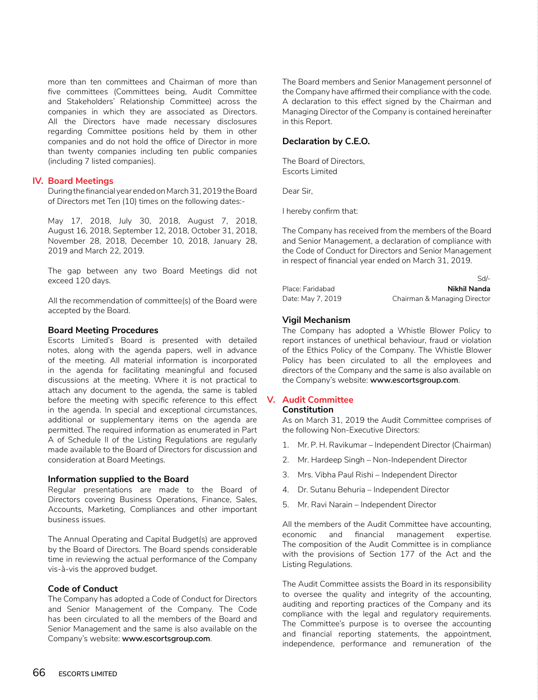more than ten committees and Chairman of more than five committees (Committees being, Audit Committee and Stakeholders' Relationship Committee) across the companies in which they are associated as Directors. All the Directors have made necessary disclosures regarding Committee positions held by them in other companies and do not hold the office of Director in more than twenty companies including ten public companies (including 7 listed companies).

## **IV. Board Meetings**

During the financial year ended on March 31, 2019 the Board of Directors met Ten (10) times on the following dates:-

May 17, 2018, July 30, 2018, August 7, 2018, August 16, 2018, September 12, 2018, October 31, 2018, November 28, 2018, December 10, 2018, January 28, 2019 and March 22, 2019.

The gap between any two Board Meetings did not exceed 120 days.

All the recommendation of committee(s) of the Board were accepted by the Board.

### **Board Meeting Procedures**

Escorts Limited's Board is presented with detailed notes, along with the agenda papers, well in advance of the meeting. All material information is incorporated in the agenda for facilitating meaningful and focused discussions at the meeting. Where it is not practical to attach any document to the agenda, the same is tabled before the meeting with specific reference to this effect in the agenda. In special and exceptional circumstances, additional or supplementary items on the agenda are permitted. The required information as enumerated in Part A of Schedule II of the Listing Regulations are regularly made available to the Board of Directors for discussion and consideration at Board Meetings.

#### **Information supplied to the Board**

Regular presentations are made to the Board of Directors covering Business Operations, Finance, Sales, Accounts, Marketing, Compliances and other important business issues.

The Annual Operating and Capital Budget(s) are approved by the Board of Directors. The Board spends considerable time in reviewing the actual performance of the Company vis-à-vis the approved budget.

## **Code of Conduct**

 The Company has adopted a Code of Conduct for Directors and Senior Management of the Company. The Code has been circulated to all the members of the Board and Senior Management and the same is also available on the Company's website: **www.escortsgroup.com**.

The Board members and Senior Management personnel of the Company have affirmed their compliance with the code. A declaration to this effect signed by the Chairman and Managing Director of the Company is contained hereinafter in this Report.

## **Declaration by C.E.O.**

The Board of Directors, Escorts Limited

Dear Sir,

I hereby confirm that:

The Company has received from the members of the Board and Senior Management, a declaration of compliance with the Code of Conduct for Directors and Senior Management in respect of financial year ended on March 31, 2019.

| Place: Faridabad  | Nikhil Nanda                 |
|-------------------|------------------------------|
| Date: May 7, 2019 | Chairman & Managing Director |

Sd/-

### **Vigil Mechanism**

The Company has adopted a Whistle Blower Policy to report instances of unethical behaviour, fraud or violation of the Ethics Policy of the Company. The Whistle Blower Policy has been circulated to all the employees and directors of the Company and the same is also available on the Company's website: **www.escortsgroup.com**.

## **V. Audit Committee**

## **Constitution**

As on March 31, 2019 the Audit Committee comprises of the following Non-Executive Directors:

- 1. Mr. P. H. Ravikumar Independent Director (Chairman)
- 2. Mr. Hardeep Singh Non-Independent Director
- 3. Mrs. Vibha Paul Rishi Independent Director
- 4. Dr. Sutanu Behuria Independent Director
- 5. Mr. Ravi Narain Independent Director

All the members of the Audit Committee have accounting, economic and financial management expertise. The composition of the Audit Committee is in compliance with the provisions of Section 177 of the Act and the Listing Regulations.

The Audit Committee assists the Board in its responsibility to oversee the quality and integrity of the accounting, auditing and reporting practices of the Company and its compliance with the legal and regulatory requirements. The Committee's purpose is to oversee the accounting and financial reporting statements, the appointment, independence, performance and remuneration of the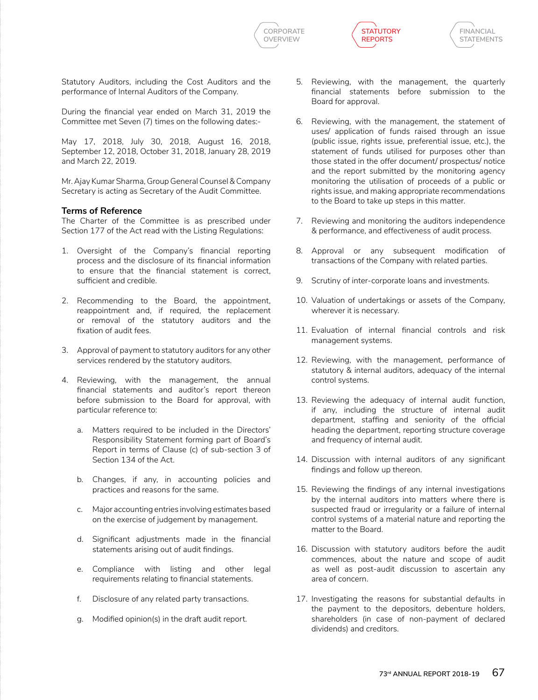





Statutory Auditors, including the Cost Auditors and the performance of Internal Auditors of the Company.

During the financial year ended on March 31, 2019 the Committee met Seven (7) times on the following dates:-

May 17, 2018, July 30, 2018, August 16, 2018, September 12, 2018, October 31, 2018, January 28, 2019 and March 22, 2019.

Mr. Ajay Kumar Sharma, Group General Counsel & Company Secretary is acting as Secretary of the Audit Committee.

## **Terms of Reference**

The Charter of the Committee is as prescribed under Section 177 of the Act read with the Listing Regulations:

- 1. Oversight of the Company's financial reporting process and the disclosure of its financial information to ensure that the financial statement is correct, sufficient and credible.
- 2. Recommending to the Board, the appointment, reappointment and, if required, the replacement or removal of the statutory auditors and the fixation of audit fees.
- 3. Approval of payment to statutory auditors for any other services rendered by the statutory auditors.
- 4. Reviewing, with the management, the annual financial statements and auditor's report thereon before submission to the Board for approval, with particular reference to:
	- a. Matters required to be included in the Directors' Responsibility Statement forming part of Board's Report in terms of Clause (c) of sub-section 3 of Section 134 of the Act.
	- b. Changes, if any, in accounting policies and practices and reasons for the same.
	- c. Major accounting entries involving estimates based on the exercise of judgement by management.
	- d. Significant adjustments made in the financial statements arising out of audit findings.
	- e. Compliance with listing and other legal requirements relating to financial statements.
	- f. Disclosure of any related party transactions.
	- g. Modified opinion(s) in the draft audit report.
- 5. Reviewing, with the management, the quarterly financial statements before submission to the Board for approval.
- 6. Reviewing, with the management, the statement of uses/ application of funds raised through an issue (public issue, rights issue, preferential issue, etc.), the statement of funds utilised for purposes other than those stated in the offer document/ prospectus/ notice and the report submitted by the monitoring agency monitoring the utilisation of proceeds of a public or rights issue, and making appropriate recommendations to the Board to take up steps in this matter.
- 7. Reviewing and monitoring the auditors independence & performance, and effectiveness of audit process.
- 8. Approval or any subsequent modification of transactions of the Company with related parties.
- 9. Scrutiny of inter-corporate loans and investments.
- 10. Valuation of undertakings or assets of the Company, wherever it is necessary.
- 11. Evaluation of internal financial controls and risk management systems.
- 12. Reviewing, with the management, performance of statutory & internal auditors, adequacy of the internal control systems.
- 13. Reviewing the adequacy of internal audit function, if any, including the structure of internal audit department, staffing and seniority of the official heading the department, reporting structure coverage and frequency of internal audit.
- 14. Discussion with internal auditors of any significant findings and follow up thereon.
- 15. Reviewing the findings of any internal investigations by the internal auditors into matters where there is suspected fraud or irregularity or a failure of internal control systems of a material nature and reporting the matter to the Board.
- 16. Discussion with statutory auditors before the audit commences, about the nature and scope of audit as well as post-audit discussion to ascertain any area of concern.
- 17. Investigating the reasons for substantial defaults in the payment to the depositors, debenture holders, shareholders (in case of non-payment of declared dividends) and creditors.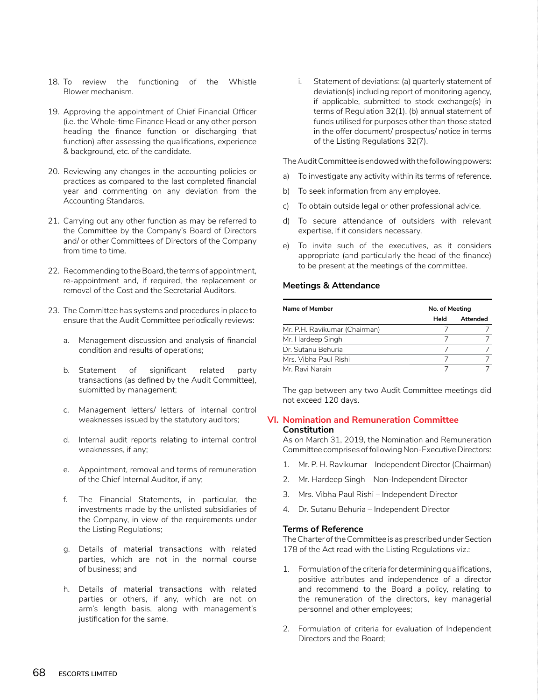- 18. To review the functioning of the Whistle Blower mechanism.
- 19. Approving the appointment of Chief Financial Officer (i.e. the Whole-time Finance Head or any other person heading the finance function or discharging that function) after assessing the qualifications, experience & background, etc. of the candidate.
- 20. Reviewing any changes in the accounting policies or practices as compared to the last completed financial year and commenting on any deviation from the Accounting Standards.
- 21. Carrying out any other function as may be referred to the Committee by the Company's Board of Directors and/ or other Committees of Directors of the Company from time to time.
- 22. Recommending to the Board, the terms of appointment, re-appointment and, if required, the replacement or removal of the Cost and the Secretarial Auditors.
- 23. The Committee has systems and procedures in place to ensure that the Audit Committee periodically reviews:
	- a. Management discussion and analysis of financial condition and results of operations;
	- b. Statement of significant related party transactions (as defined by the Audit Committee), submitted by management;
	- c. Management letters/ letters of internal control weaknesses issued by the statutory auditors;
	- d. Internal audit reports relating to internal control weaknesses, if any;
	- e. Appointment, removal and terms of remuneration of the Chief Internal Auditor, if any;
	- f. The Financial Statements, in particular, the investments made by the unlisted subsidiaries of the Company, in view of the requirements under the Listing Regulations;
	- g. Details of material transactions with related parties, which are not in the normal course of business; and
	- h. Details of material transactions with related parties or others, if any, which are not on arm's length basis, along with management's justification for the same.

i. Statement of deviations: (a) quarterly statement of deviation(s) including report of monitoring agency, if applicable, submitted to stock exchange(s) in terms of Regulation 32(1). (b) annual statement of funds utilised for purposes other than those stated in the offer document/ prospectus/ notice in terms of the Listing Regulations 32(7).

The Audit Committee is endowed with the following powers:

- a) To investigate any activity within its terms of reference.
- b) To seek information from any employee.
- c) To obtain outside legal or other professional advice.
- d) To secure attendance of outsiders with relevant expertise, if it considers necessary.
- e) To invite such of the executives, as it considers appropriate (and particularly the head of the finance) to be present at the meetings of the committee.

### **Meetings & Attendance**

| Name of Member                | No. of Meeting |          |  |
|-------------------------------|----------------|----------|--|
|                               | Held           | Attended |  |
| Mr. P.H. Ravikumar (Chairman) |                |          |  |
| Mr. Hardeep Singh             |                |          |  |
| Dr. Sutanu Behuria            |                |          |  |
| Mrs. Vibha Paul Rishi         |                |          |  |
| Mr. Ravi Narain               |                |          |  |

The gap between any two Audit Committee meetings did not exceed 120 days.

## **VI. Nomination and Remuneration Committee Constitution**

As on March 31, 2019, the Nomination and Remuneration Committee comprises of following Non-Executive Directors:

- 1. Mr. P. H. Ravikumar Independent Director (Chairman)
- 2. Mr. Hardeep Singh Non-Independent Director
- 3. Mrs. Vibha Paul Rishi Independent Director
- 4. Dr. Sutanu Behuria Independent Director

## **Terms of Reference**

The Charter of the Committee is as prescribed under Section 178 of the Act read with the Listing Regulations viz.:

- 1. Formulation of the criteria for determining qualifications, positive attributes and independence of a director and recommend to the Board a policy, relating to the remuneration of the directors, key managerial personnel and other employees;
- 2. Formulation of criteria for evaluation of Independent Directors and the Board;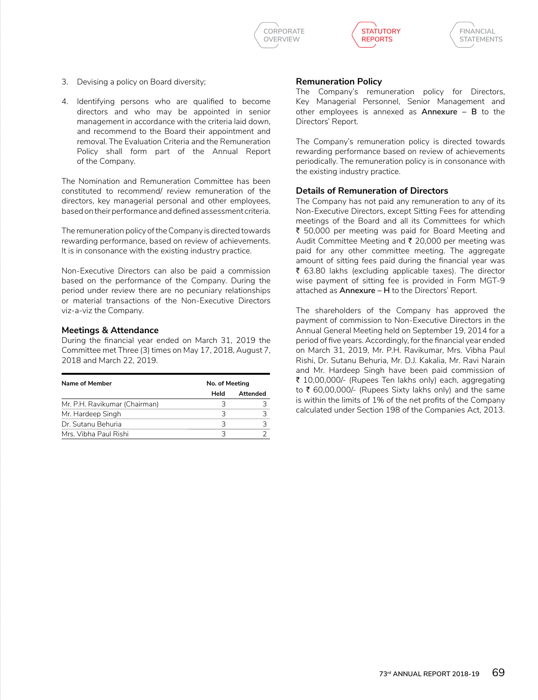





- 3. Devising a policy on Board diversity;
- 4. Identifying persons who are qualified to become directors and who may be appointed in senior management in accordance with the criteria laid down, and recommend to the Board their appointment and removal. The Evaluation Criteria and the Remuneration Policy shall form part of the Annual Report of the Company.

The Nomination and Remuneration Committee has been constituted to recommend/ review remuneration of the directors, key managerial personal and other employees, based on their performance and defined assessment criteria.

 The remuneration policy of the Company is directed towards rewarding performance, based on review of achievements. It is in consonance with the existing industry practice.

Non-Executive Directors can also be paid a commission based on the performance of the Company. During the period under review there are no pecuniary relationships or material transactions of the Non-Executive Directors viz-a-viz the Company.

## **Meetings & Attendance**

During the financial year ended on March 31, 2019 the Committee met Three (3) times on May 17, 2018, August 7, 2018 and March 22, 2019.

| Name of Member                | No. of Meeting |          |  |
|-------------------------------|----------------|----------|--|
|                               | Held           | Attended |  |
| Mr. P.H. Ravikumar (Chairman) |                |          |  |
| Mr. Hardeep Singh             | З              |          |  |
| Dr. Sutanu Behuria            | っ              |          |  |
| Mrs. Vibha Paul Rishi         |                |          |  |

## **Remuneration Policy**

The Company's remuneration policy for Directors, Key Managerial Personnel, Senior Management and other employees is annexed as **Annexure – B** to the Directors' Report.

 The Company's remuneration policy is directed towards rewarding performance based on review of achievements periodically. The remuneration policy is in consonance with the existing industry practice.

## **Details of Remuneration of Directors**

 The Company has not paid any remuneration to any of its Non-Executive Directors, except Sitting Fees for attending meetings of the Board and all its Committees for which ₹ 50,000 per meeting was paid for Board Meeting and Audit Committee Meeting and  $\bar{\tau}$  20,000 per meeting was paid for any other committee meeting. The aggregate amount of sitting fees paid during the financial year was ₹ 63.80 lakhs (excluding applicable taxes). The director wise payment of sitting fee is provided in Form MGT-9 attached as **Annexure – H** to the Directors' Report.

 The shareholders of the Company has approved the payment of commission to Non-Executive Directors in the Annual General Meeting held on September 19, 2014 for a period of five years. Accordingly, for the financial year ended on March 31, 2019, Mr. P.H. Ravikumar, Mrs. Vibha Paul Rishi, Dr. Sutanu Behuria, Mr. D.J. Kakalia, Mr. Ravi Narain and Mr. Hardeep Singh have been paid commission of ₹ 10,00,000/- (Rupees Ten lakhs only) each, aggregating to  $\bar{\tau}$  60,00,000/- (Rupees Sixty lakhs only) and the same is within the limits of 1% of the net profits of the Company calculated under Section 198 of the Companies Act, 2013.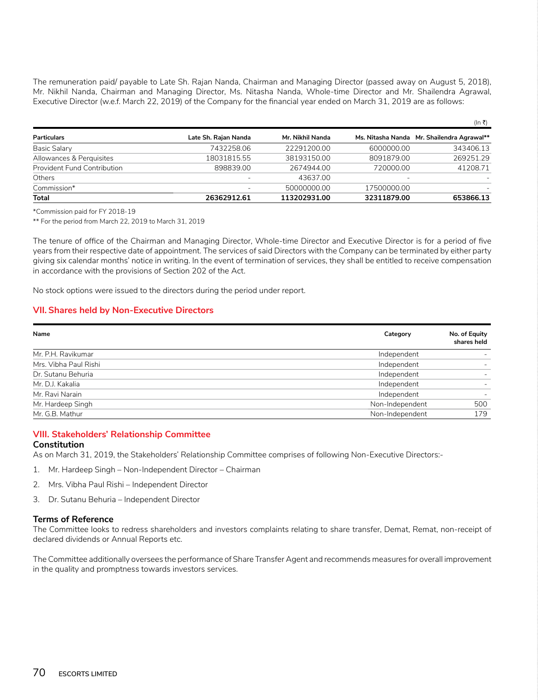The remuneration paid/ payable to Late Sh. Rajan Nanda, Chairman and Managing Director (passed away on August 5, 2018), Mr. Nikhil Nanda, Chairman and Managing Director, Ms. Nitasha Nanda, Whole-time Director and Mr. Shailendra Agrawal, Executive Director (w.e.f. March 22, 2019) of the Company for the financial year ended on March 31, 2019 are as follows:

|                                    |                      |                  |             | (In ₹)                                     |
|------------------------------------|----------------------|------------------|-------------|--------------------------------------------|
| <b>Particulars</b>                 | Late Sh. Rajan Nanda | Mr. Nikhil Nanda |             | Ms. Nitasha Nanda Mr. Shailendra Agrawal** |
| Basic Salary                       | 7432258.06           | 22291200.00      | 6000000.00  | 343406.13                                  |
| Allowances & Perquisites           | 18031815.55          | 38193150.00      | 8091879.00  | 269251.29                                  |
| <b>Provident Fund Contribution</b> | 898839.00            | 2674944.00       | 720000.00   | 41208.71                                   |
| Others                             |                      | 43637.00         |             |                                            |
| Commission*                        | -                    | 50000000.00      | 17500000.00 |                                            |
| <b>Total</b>                       | 26362912.61          | 113202931.00     | 32311879.00 | 653866.13                                  |

\*Commission paid for FY 2018-19

\*\* For the period from March 22, 2019 to March 31, 2019

The tenure of office of the Chairman and Managing Director, Whole-time Director and Executive Director is for a period of five years from their respective date of appointment. The services of said Directors with the Company can be terminated by either party giving six calendar months' notice in writing. In the event of termination of services, they shall be entitled to receive compensation in accordance with the provisions of Section 202 of the Act.

No stock options were issued to the directors during the period under report.

### **VII. Shares held by Non-Executive Directors**

| Name                  | Category        | No. of Equity<br>shares held |
|-----------------------|-----------------|------------------------------|
| Mr. P.H. Ravikumar    | Independent     |                              |
| Mrs. Vibha Paul Rishi | Independent     |                              |
| Dr. Sutanu Behuria    | Independent     |                              |
| Mr. D.J. Kakalia      | Independent     |                              |
| Mr. Ravi Narain       | Independent     |                              |
| Mr. Hardeep Singh     | Non-Independent | 500                          |
| Mr. G.B. Mathur       | Non-Independent | 179                          |

## **VIII. Stakeholders' Relationship Committee Constitution**

As on March 31, 2019, the Stakeholders' Relationship Committee comprises of following Non-Executive Directors:-

- 1. Mr. Hardeep Singh Non-Independent Director Chairman
- 2. Mrs. Vibha Paul Rishi Independent Director
- 3. Dr. Sutanu Behuria Independent Director

#### **Terms of Reference**

The Committee looks to redress shareholders and investors complaints relating to share transfer, Demat, Remat, non-receipt of declared dividends or Annual Reports etc.

The Committee additionally oversees the performance of Share Transfer Agent and recommends measures for overall improvement in the quality and promptness towards investors services.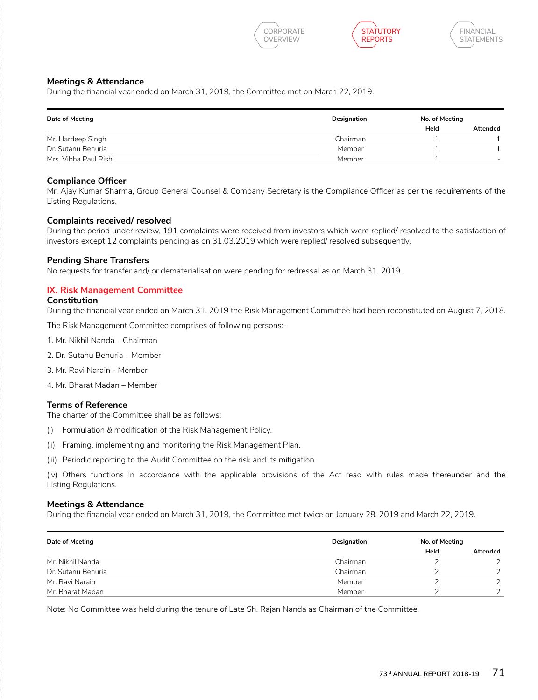





## **Meetings & Attendance**

During the financial year ended on March 31, 2019, the Committee met on March 22, 2019.

| Date of Meeting       | Designation | No. of Meeting |                          |
|-----------------------|-------------|----------------|--------------------------|
|                       |             | Held           | <b>Attended</b>          |
| Mr. Hardeep Singh     | Chairman    |                |                          |
| Dr. Sutanu Behuria    | Member      |                |                          |
| Mrs. Vibha Paul Rishi | Member      |                | $\overline{\phantom{0}}$ |

## **Compliance Officer**

Mr. Ajay Kumar Sharma, Group General Counsel & Company Secretary is the Compliance Officer as per the requirements of the Listing Regulations.

## **Complaints received/ resolved**

During the period under review, 191 complaints were received from investors which were replied/ resolved to the satisfaction of investors except 12 complaints pending as on 31.03.2019 which were replied/ resolved subsequently.

### **Pending Share Transfers**

No requests for transfer and/ or dematerialisation were pending for redressal as on March 31, 2019.

## **IX. Risk Management Committee**

### **Constitution**

During the financial year ended on March 31, 2019 the Risk Management Committee had been reconstituted on August 7, 2018.

The Risk Management Committee comprises of following persons:-

- 1. Mr. Nikhil Nanda Chairman
- 2. Dr. Sutanu Behuria Member
- 3. Mr. Ravi Narain Member
- 4. Mr. Bharat Madan Member

## **Terms of Reference**

The charter of the Committee shall be as follows:

- (i) Formulation & modification of the Risk Management Policy.
- (ii) Framing, implementing and monitoring the Risk Management Plan.
- (iii) Periodic reporting to the Audit Committee on the risk and its mitigation.

(iv) Others functions in accordance with the applicable provisions of the Act read with rules made thereunder and the Listing Regulations.

### **Meetings & Attendance**

During the financial year ended on March 31, 2019, the Committee met twice on January 28, 2019 and March 22, 2019.

| Date of Meeting    | Designation | No. of Meeting |          |
|--------------------|-------------|----------------|----------|
|                    |             | Held           | Attended |
| Mr. Nikhil Nanda   | Chairman    |                |          |
| Dr. Sutanu Behuria | Chairman    |                |          |
| Mr. Ravi Narain    | Member      |                |          |
| Mr. Bharat Madan   | Member      |                |          |

Note: No Committee was held during the tenure of Late Sh. Rajan Nanda as Chairman of the Committee.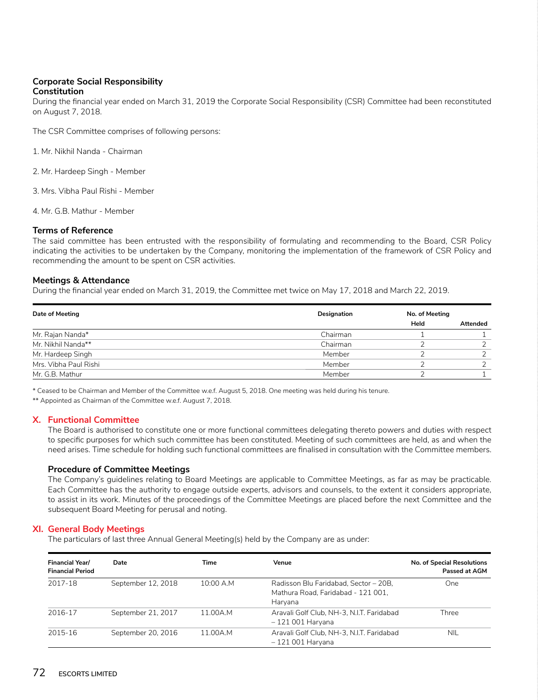## **Corporate Social Responsibility Constitution**

During the financial year ended on March 31, 2019 the Corporate Social Responsibility (CSR) Committee had been reconstituted on August 7, 2018.

The CSR Committee comprises of following persons:

1. Mr. Nikhil Nanda - Chairman

2. Mr. Hardeep Singh - Member

3. Mrs. Vibha Paul Rishi - Member

4. Mr. G.B. Mathur - Member

### **Terms of Reference**

The said committee has been entrusted with the responsibility of formulating and recommending to the Board, CSR Policy indicating the activities to be undertaken by the Company, monitoring the implementation of the framework of CSR Policy and recommending the amount to be spent on CSR activities.

## **Meetings & Attendance**

During the financial year ended on March 31, 2019, the Committee met twice on May 17, 2018 and March 22, 2019.

| Date of Meeting       | Designation | No. of Meeting |          |
|-----------------------|-------------|----------------|----------|
|                       |             | Held           | Attended |
| Mr. Rajan Nanda*      | Chairman    |                |          |
| Mr. Nikhil Nanda**    | Chairman    |                |          |
| Mr. Hardeep Singh     | Member      |                |          |
| Mrs. Vibha Paul Rishi | Member      |                |          |
| Mr. G.B. Mathur       | Member      |                |          |

\* Ceased to be Chairman and Member of the Committee w.e.f. August 5, 2018. One meeting was held during his tenure.

\*\* Appointed as Chairman of the Committee w.e.f. August 7, 2018.

### **X. Functional Committee**

The Board is authorised to constitute one or more functional committees delegating thereto powers and duties with respect to specific purposes for which such committee has been constituted. Meeting of such committees are held, as and when the need arises. Time schedule for holding such functional committees are finalised in consultation with the Committee members.

### **Procedure of Committee Meetings**

The Company's guidelines relating to Board Meetings are applicable to Committee Meetings, as far as may be practicable. Each Committee has the authority to engage outside experts, advisors and counsels, to the extent it considers appropriate, to assist in its work. Minutes of the proceedings of the Committee Meetings are placed before the next Committee and the subsequent Board Meeting for perusal and noting.

## **XI. General Body Meetings**

The particulars of last three Annual General Meeting(s) held by the Company are as under:

| <b>Financial Year/</b><br><b>Financial Period</b> | Date               | Time      | Venue                                                                                  | <b>No. of Special Resolutions</b><br>Passed at AGM |
|---------------------------------------------------|--------------------|-----------|----------------------------------------------------------------------------------------|----------------------------------------------------|
| 2017-18                                           | September 12, 2018 | 10:00 A.M | Radisson Blu Faridabad, Sector - 20B,<br>Mathura Road. Faridabad - 121 001.<br>Harvana | <b>One</b>                                         |
| 2016-17                                           | September 21, 2017 | 11.00A.M  | Aravali Golf Club, NH-3, N.I.T. Faridabad<br>$-121001$ Haryana                         | Three                                              |
| 2015-16                                           | September 20, 2016 | 11.00A.M  | Aravali Golf Club, NH-3, N.I.T. Faridabad<br>– 121 001 Haryana                         | <b>NIL</b>                                         |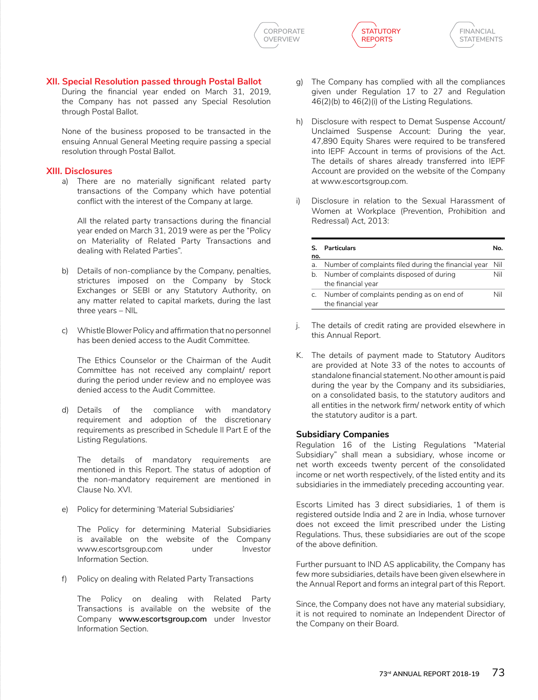





## **XII. Special Resolution passed through Postal Ballot**

During the financial year ended on March 31, 2019, the Company has not passed any Special Resolution through Postal Ballot.

None of the business proposed to be transacted in the ensuing Annual General Meeting require passing a special resolution through Postal Ballot.

## **XIII. Disclosures**

a) There are no materially significant related party transactions of the Company which have potential conflict with the interest of the Company at large.

All the related party transactions during the financial year ended on March 31, 2019 were as per the "Policy on Materiality of Related Party Transactions and dealing with Related Parties".

- b) Details of non-compliance by the Company, penalties, strictures imposed on the Company by Stock Exchanges or SEBI or any Statutory Authority, on any matter related to capital markets, during the last three years – NIL
- c) Whistle Blower Policy and affirmation that no personnel has been denied access to the Audit Committee.

 The Ethics Counselor or the Chairman of the Audit Committee has not received any complaint/ report during the period under review and no employee was denied access to the Audit Committee.

d) Details of the compliance with mandatory requirement and adoption of the discretionary requirements as prescribed in Schedule II Part E of the Listing Regulations.

The details of mandatory requirements are mentioned in this Report. The status of adoption of the non-mandatory requirement are mentioned in Clause No. XVI.

e) Policy for determining 'Material Subsidiaries'

The Policy for determining Material Subsidiaries is available on the website of the Company www.escortsgroup.com under Investor Information Section.

f) Policy on dealing with Related Party Transactions

 The Policy on dealing with Related Party Transactions is available on the website of the Company **www.escortsgroup.com** under Investor Information Section.

- g) The Company has complied with all the compliances given under Regulation 17 to 27 and Regulation 46(2)(b) to 46(2)(i) of the Listing Regulations.
- h) Disclosure with respect to Demat Suspense Account/ Unclaimed Suspense Account: During the year, 47,890 Equity Shares were required to be transfered into IEPF Account in terms of provisions of the Act. The details of shares already transferred into IEPF Account are provided on the website of the Company at www.escortsgroup.com.
- i) Disclosure in relation to the Sexual Harassment of Women at Workplace (Prevention, Prohibition and Redressal) Act, 2013:

| S.<br>no. | Particulars                                                     | N٥. |
|-----------|-----------------------------------------------------------------|-----|
| a.        | Number of complaints filed during the financial year            | Nil |
| b.        | Number of complaints disposed of during<br>the financial year   | Nil |
| C.        | Number of complaints pending as on end of<br>the financial year | Nil |

- j. The details of credit rating are provided elsewhere in this Annual Report.
- K. The details of payment made to Statutory Auditors are provided at Note 33 of the notes to accounts of standalone financial statement. No other amount is paid during the year by the Company and its subsidiaries, on a consolidated basis, to the statutory auditors and all entities in the network firm/ network entity of which the statutory auditor is a part.

## **Subsidiary Companies**

Regulation 16 of the Listing Regulations "Material Subsidiary" shall mean a subsidiary, whose income or net worth exceeds twenty percent of the consolidated income or net worth respectively, of the listed entity and its subsidiaries in the immediately preceding accounting year.

Escorts Limited has 3 direct subsidiaries, 1 of them is registered outside India and 2 are in India, whose turnover does not exceed the limit prescribed under the Listing Regulations. Thus, these subsidiaries are out of the scope of the above definition.

Further pursuant to IND AS applicability, the Company has few more subsidiaries, details have been given elsewhere in the Annual Report and forms an integral part of this Report.

Since, the Company does not have any material subsidiary, it is not required to nominate an Independent Director of the Company on their Board.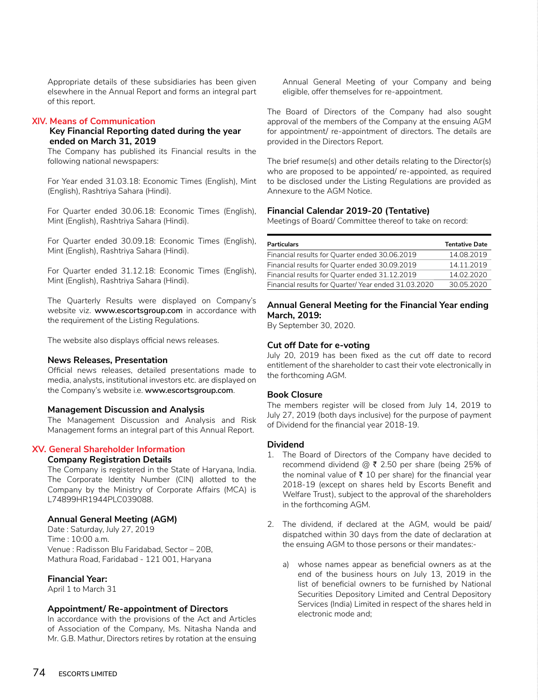Appropriate details of these subsidiaries has been given elsewhere in the Annual Report and forms an integral part of this report.

## **XIV. Means of Communication**

## **Key Financial Reporting dated during the year ended on March 31, 2019**

The Company has published its Financial results in the following national newspapers:

For Year ended 31.03.18: Economic Times (English), Mint (English), Rashtriya Sahara (Hindi).

For Quarter ended 30.06.18: Economic Times (English), Mint (English), Rashtriya Sahara (Hindi).

For Quarter ended 30.09.18: Economic Times (English), Mint (English), Rashtriya Sahara (Hindi).

For Quarter ended 31.12.18: Economic Times (English), Mint (English), Rashtriya Sahara (Hindi).

 The Quarterly Results were displayed on Company's website viz. **www.escortsgroup.com** in accordance with the requirement of the Listing Regulations.

The website also displays official news releases.

## **News Releases, Presentation**

Official news releases, detailed presentations made to media, analysts, institutional investors etc. are displayed on the Company's website i.e. **www.escortsgroup.com**.

## **Management Discussion and Analysis**

The Management Discussion and Analysis and Risk Management forms an integral part of this Annual Report.

## **XV. General Shareholder Information**

## **Company Registration Details**

The Company is registered in the State of Haryana, India. The Corporate Identity Number (CIN) allotted to the Company by the Ministry of Corporate Affairs (MCA) is L74899HR1944PLC039088.

## **Annual General Meeting (AGM)**

Date : Saturday, July 27, 2019  $Time:10:00 a m$ Venue : Radisson Blu Faridabad, Sector – 20B, Mathura Road, Faridabad - 121 001, Haryana

## **Financial Year:**

April 1 to March 31

## **Appointment/ Re-appointment of Directors**

In accordance with the provisions of the Act and Articles of Association of the Company, Ms. Nitasha Nanda and Mr. G.B. Mathur, Directors retires by rotation at the ensuing

Annual General Meeting of your Company and being eligible, offer themselves for re-appointment.

The Board of Directors of the Company had also sought approval of the members of the Company at the ensuing AGM for appointment/ re-appointment of directors. The details are provided in the Directors Report.

The brief resume(s) and other details relating to the Director(s) who are proposed to be appointed/ re-appointed, as required to be disclosed under the Listing Regulations are provided as Annexure to the AGM Notice.

## **Financial Calendar 2019-20 (Tentative)**

Meetings of Board/ Committee thereof to take on record:

| <b>Tentative Date</b> |
|-----------------------|
| 14.08.2019            |
| 14.11.2019            |
| 14.02.2020            |
| 30.05.2020            |
|                       |

## **Annual General Meeting for the Financial Year ending March, 2019:**

By September 30, 2020.

## **Cut off Date for e-voting**

July 20, 2019 has been fixed as the cut off date to record entitlement of the shareholder to cast their vote electronically in the forthcoming AGM.

## **Book Closure**

The members register will be closed from July 14, 2019 to July 27, 2019 (both days inclusive) for the purpose of payment of Dividend for the financial year 2018-19.

### **Dividend**

- 1. The Board of Directors of the Company have decided to recommend dividend @  $\bar{\tau}$  2.50 per share (being 25% of the nominal value of  $\bar{\tau}$  10 per share) for the financial year 2018-19 (except on shares held by Escorts Benefit and Welfare Trust), subject to the approval of the shareholders in the forthcoming AGM.
- 2. The dividend, if declared at the AGM, would be paid/ dispatched within 30 days from the date of declaration at the ensuing AGM to those persons or their mandates:
	- a) whose names appear as beneficial owners as at the end of the business hours on July 13, 2019 in the list of beneficial owners to be furnished by National Securities Depository Limited and Central Depository Services (India) Limited in respect of the shares held in electronic mode and;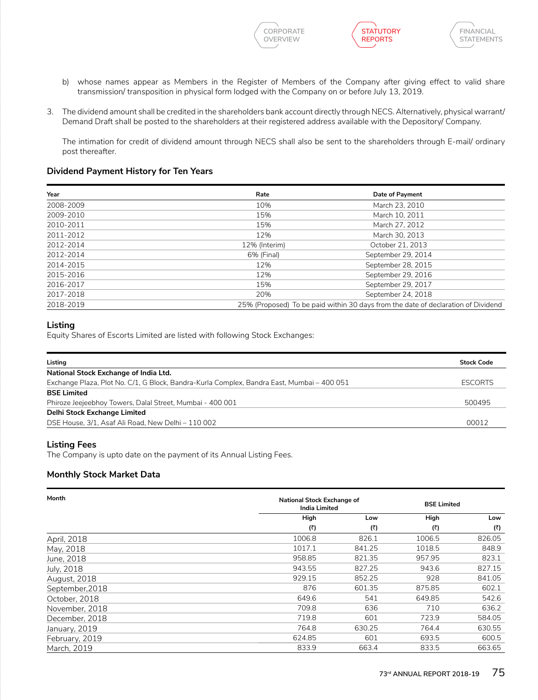





- b) whose names appear as Members in the Register of Members of the Company after giving effect to valid share transmission/ transposition in physical form lodged with the Company on or before July 13, 2019.
- 3. The dividend amount shall be credited in the shareholders bank account directly through NECS. Alternatively, physical warrant/ Demand Draft shall be posted to the shareholders at their registered address available with the Depository/ Company.

The intimation for credit of dividend amount through NECS shall also be sent to the shareholders through E-mail/ ordinary post thereafter.

## **Dividend Payment History for Ten Years**

| Year      | Rate          | Date of Payment                                                                   |
|-----------|---------------|-----------------------------------------------------------------------------------|
| 2008-2009 | 10%           | March 23, 2010                                                                    |
| 2009-2010 | 15%           | March 10, 2011                                                                    |
| 2010-2011 | 15%           | March 27, 2012                                                                    |
| 2011-2012 | 12%           | March 30, 2013                                                                    |
| 2012-2014 | 12% (Interim) | October 21, 2013                                                                  |
| 2012-2014 | 6% (Final)    | September 29, 2014                                                                |
| 2014-2015 | 12%           | September 28, 2015                                                                |
| 2015-2016 | 12%           | September 29, 2016                                                                |
| 2016-2017 | 15%           | September 29, 2017                                                                |
| 2017-2018 | 20%           | September 24, 2018                                                                |
| 2018-2019 |               | 25% (Proposed) To be paid within 30 days from the date of declaration of Dividend |

## **Listing**

Equity Shares of Escorts Limited are listed with following Stock Exchanges:

| Listing                                                                                    | <b>Stock Code</b> |
|--------------------------------------------------------------------------------------------|-------------------|
| National Stock Exchange of India Ltd.                                                      |                   |
| Exchange Plaza, Plot No. C/1, G Block, Bandra-Kurla Complex, Bandra East, Mumbai - 400 051 | <b>ESCORTS</b>    |
| <b>BSE Limited</b>                                                                         |                   |
| Phiroze Jeejeebhoy Towers, Dalal Street, Mumbai - 400 001                                  | 500495            |
| Delhi Stock Exchange Limited                                                               |                   |
| DSE House, 3/1, Asaf Ali Road, New Delhi - 110 002                                         | 00012             |

## **Listing Fees**

The Company is upto date on the payment of its Annual Listing Fees.

## **Monthly Stock Market Data**

| Month           |        | National Stock Exchange of<br><b>BSE Limited</b><br><b>India Limited</b> |        |        |
|-----------------|--------|--------------------------------------------------------------------------|--------|--------|
|                 | High   | Low                                                                      | High   | Low    |
|                 | (₹)    | (₹)                                                                      | (₹)    | (₹)    |
| April, 2018     | 1006.8 | 826.1                                                                    | 1006.5 | 826.05 |
| May, 2018       | 1017.1 | 841.25                                                                   | 1018.5 | 848.9  |
| June, 2018      | 958.85 | 821.35                                                                   | 957.95 | 823.1  |
| July, 2018      | 943.55 | 827.25                                                                   | 943.6  | 827.15 |
| August, 2018    | 929.15 | 852.25                                                                   | 928    | 841.05 |
| September, 2018 | 876    | 601.35                                                                   | 875.85 | 602.1  |
| October, 2018   | 649.6  | 541                                                                      | 649.85 | 542.6  |
| November, 2018  | 709.8  | 636                                                                      | 710    | 636.2  |
| December, 2018  | 719.8  | 601                                                                      | 723.9  | 584.05 |
| January, 2019   | 764.8  | 630.25                                                                   | 764.4  | 630.55 |
| February, 2019  | 624.85 | 601                                                                      | 693.5  | 600.5  |
| March, 2019     | 833.9  | 663.4                                                                    | 833.5  | 663.65 |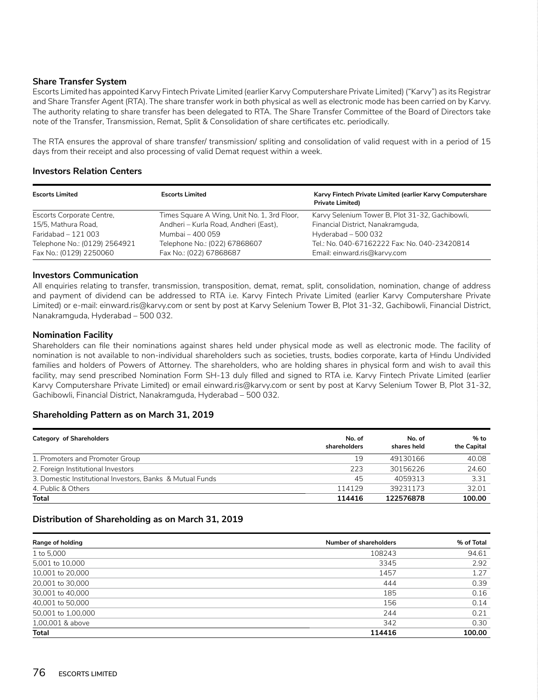## **Share Transfer System**

Escorts Limited has appointed Karvy Fintech Private Limited (earlier Karvy Computershare Private Limited) ("Karvy") as its Registrar and Share Transfer Agent (RTA). The share transfer work in both physical as well as electronic mode has been carried on by Karvy. The authority relating to share transfer has been delegated to RTA. The Share Transfer Committee of the Board of Directors take note of the Transfer, Transmission, Remat, Split & Consolidation of share certificates etc. periodically.

The RTA ensures the approval of share transfer/ transmission/ spliting and consolidation of valid request with in a period of 15 days from their receipt and also processing of valid Demat request within a week.

## **Investors Relation Centers**

| <b>Escorts Limited</b>        | <b>Escorts Limited</b>                      | Karvy Fintech Private Limited (earlier Karvy Computershare<br><b>Private Limited)</b> |
|-------------------------------|---------------------------------------------|---------------------------------------------------------------------------------------|
| Escorts Corporate Centre,     | Times Square A Wing, Unit No. 1, 3rd Floor, | Karvy Selenium Tower B, Plot 31-32, Gachibowli,                                       |
| 15/5. Mathura Road.           | Andheri - Kurla Road, Andheri (East),       | Financial District, Nanakramquda,                                                     |
| Faridabad $-121003$           | Mumbai – 400 059                            | Hyderabad $-500032$                                                                   |
| Telephone No.: (0129) 2564921 | Telephone No.: (022) 67868607               | Tel.: No. 040-67162222 Fax: No. 040-23420814                                          |
| Fax No.: (0129) 2250060       | Fax No.: (022) 67868687                     | Email: einward.ris@karvy.com                                                          |

## **Investors Communication**

All enquiries relating to transfer, transmission, transposition, demat, remat, split, consolidation, nomination, change of address and payment of dividend can be addressed to RTA i.e. Karvy Fintech Private Limited (earlier Karvy Computershare Private Limited) or e-mail: einward.ris@karvy.com or sent by post at Karvy Selenium Tower B, Plot 31-32, Gachibowli, Financial District, Nanakramguda, Hyderabad – 500 032.

## **Nomination Facility**

Shareholders can file their nominations against shares held under physical mode as well as electronic mode. The facility of nomination is not available to non-individual shareholders such as societies, trusts, bodies corporate, karta of Hindu Undivided families and holders of Powers of Attorney. The shareholders, who are holding shares in physical form and wish to avail this facility, may send prescribed Nomination Form SH-13 duly filled and signed to RTA i.e. Karvy Fintech Private Limited (earlier Karvy Computershare Private Limited) or email einward.ris@karvy.com or sent by post at Karvy Selenium Tower B, Plot 31-32, Gachibowli, Financial District, Nanakramguda, Hyderabad – 500 032.

## **Shareholding Pattern as on March 31, 2019**

| <b>Category of Shareholders</b>                           | No. of<br>shareholders | No. of<br>shares held | % to<br>the Capital |
|-----------------------------------------------------------|------------------------|-----------------------|---------------------|
| 1. Promoters and Promoter Group                           | 19                     | 49130166              | 40.08               |
| 2. Foreign Institutional Investors                        | 223                    | 30156226              | 24.60               |
| 3. Domestic Institutional Investors, Banks & Mutual Funds | 45                     | 4059313               | 3.31                |
| 4. Public & Others                                        | 114129                 | 39231173              | 32.01               |
| Total                                                     | 114416                 | 122576878             | 100.00              |

## **Distribution of Shareholding as on March 31, 2019**

| Range of holding   | Number of shareholders | % of Total |
|--------------------|------------------------|------------|
| 1 to 5,000         | 108243                 | 94.61      |
| 5,001 to 10,000    | 3345                   | 2.92       |
| 10,001 to 20,000   | 1457                   | 1.27       |
| 20,001 to 30,000   | 444                    | 0.39       |
| 30,001 to 40,000   | 185                    | 0.16       |
| 40,001 to 50,000   | 156                    | 0.14       |
| 50,001 to 1,00,000 | 244                    | 0.21       |
| 1,00,001 & above   | 342                    | 0.30       |
| <b>Total</b>       | 114416                 | 100.00     |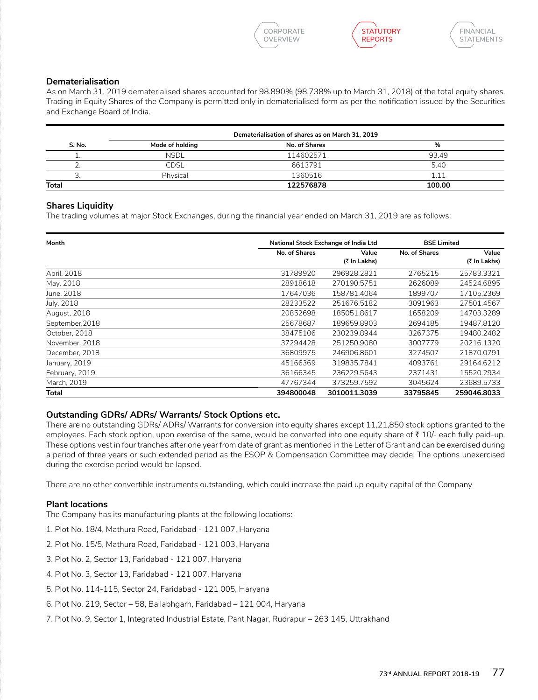**CORPORATE OVERVIEW**





## **Dematerialisation**

As on March 31, 2019 dematerialised shares accounted for 98.890% (98.738% up to March 31, 2018) of the total equity shares. Trading in Equity Shares of the Company is permitted only in dematerialised form as per the notification issued by the Securities and Exchange Board of India.

| Dematerialisation of shares as on March 31, 2019 |                 |               |        |
|--------------------------------------------------|-----------------|---------------|--------|
| S. No.                                           | Mode of holding | No. of Shares | %      |
|                                                  | <b>NSDL</b>     | 114602571     | 93.49  |
|                                                  | CDSL            | 6613791       | 5.40   |
| J.                                               | Physical        | 1360516       | 1.11   |
| <b>Total</b>                                     |                 | 122576878     | 100.00 |

## **Shares Liquidity**

The trading volumes at major Stock Exchanges, during the financial year ended on March 31, 2019 are as follows:

| Month           | National Stock Exchange of India Ltd |                       | <b>BSE Limited</b> |                       |
|-----------------|--------------------------------------|-----------------------|--------------------|-----------------------|
|                 | No. of Shares                        | Value<br>(₹ In Lakhs) | No. of Shares      | Value<br>(₹ In Lakhs) |
| April, 2018     | 31789920                             | 296928.2821           | 2765215            | 25783.3321            |
| May, 2018       | 28918618                             | 270190.5751           | 2626089            | 24524.6895            |
| June, 2018      | 17647036                             | 158781.4064           | 1899707            | 17105.2369            |
| July, 2018      | 28233522                             | 251676.5182           | 3091963            | 27501.4567            |
| August, 2018    | 20852698                             | 185051.8617           | 1658209            | 14703.3289            |
| September, 2018 | 25678687                             | 189659.8903           | 2694185            | 19487.8120            |
| October, 2018   | 38475106                             | 230239.8944           | 3267375            | 19480.2482            |
| November, 2018  | 37294428                             | 251250.9080           | 3007779            | 20216.1320            |
| December, 2018  | 36809975                             | 246906.8601           | 3274507            | 21870.0791            |
| January, 2019   | 45166369                             | 319835.7841           | 4093761            | 29164.6212            |
| February, 2019  | 36166345                             | 236229.5643           | 2371431            | 15520.2934            |
| March. 2019     | 47767344                             | 373259.7592           | 3045624            | 23689.5733            |
| Total           | 394800048                            | 3010011.3039          | 33795845           | 259046.8033           |

## **Outstanding GDRs/ ADRs/ Warrants/ Stock Options etc.**

There are no outstanding GDRs/ ADRs/ Warrants for conversion into equity shares except 11,21,850 stock options granted to the employees. Each stock option, upon exercise of the same, would be converted into one equity share of  $\bar{\tau}$  10/- each fully paid-up. These options vest in four tranches after one year from date of grant as mentioned in the Letter of Grant and can be exercised during a period of three years or such extended period as the ESOP & Compensation Committee may decide. The options unexercised during the exercise period would be lapsed.

There are no other convertible instruments outstanding, which could increase the paid up equity capital of the Company

## **Plant locations**

The Company has its manufacturing plants at the following locations:

- 1. Plot No. 18/4, Mathura Road, Faridabad 121 007, Haryana
- 2. Plot No. 15/5, Mathura Road, Faridabad 121 003, Haryana
- 3. Plot No. 2, Sector 13, Faridabad 121 007, Haryana
- 4. Plot No. 3, Sector 13, Faridabad 121 007, Haryana
- 5. Plot No. 114-115, Sector 24, Faridabad 121 005, Haryana
- 6. Plot No. 219, Sector 58, Ballabhgarh, Faridabad 121 004, Haryana
- 7. Plot No. 9, Sector 1, Integrated Industrial Estate, Pant Nagar, Rudrapur 263 145, Uttrakhand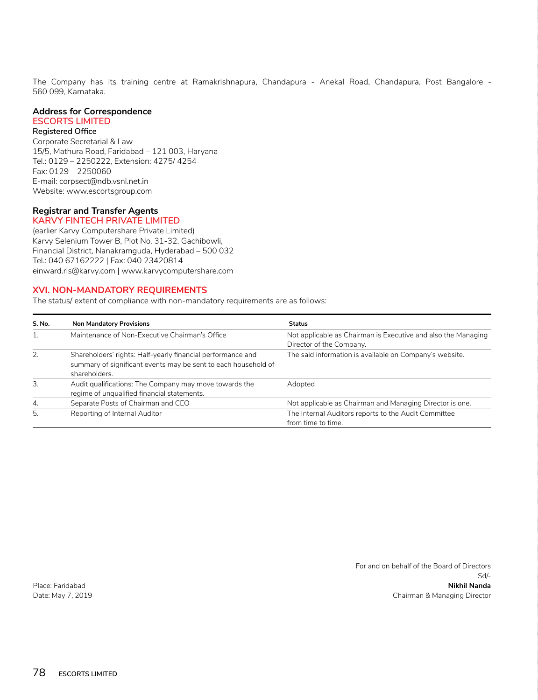The Company has its training centre at Ramakrishnapura, Chandapura - Anekal Road, Chandapura, Post Bangalore - 560 099, Karnataka.

#### **Address for Correspondence ESCORTS LIMITED**

#### **Registered Office**

Corporate Secretarial & Law 15/5, Mathura Road, Faridabad – 121 003, Haryana Tel.: 0129 – 2250222, Extension: 4275/ 4254 Fax: 0129 – 2250060 E-mail: corpsect@ndb.vsnl.net.in Website: www.escortsgroup.com

### **Registrar and Transfer Agents KARVY FINTECH PRIVATE LIMITED**

(earlier Karvy Computershare Private Limited) Karvy Selenium Tower B, Plot No. 31-32, Gachibowli, Financial District, Nanakramguda, Hyderabad – 500 032 Tel.: 040 67162222 | Fax: 040 23420814 einward.ris@karvy.com | www.karvycomputershare.com

## **XVI. NON-MANDATORY REQUIREMENTS**

The status/ extent of compliance with non-mandatory requirements are as follows:

| S. No. | <b>Non Mandatory Provisions</b>                                                                                                                | <b>Status</b>                                                                             |
|--------|------------------------------------------------------------------------------------------------------------------------------------------------|-------------------------------------------------------------------------------------------|
|        | Maintenance of Non-Executive Chairman's Office                                                                                                 | Not applicable as Chairman is Executive and also the Managing<br>Director of the Company. |
| 2.     | Shareholders' rights: Half-yearly financial performance and<br>summary of significant events may be sent to each household of<br>shareholders. | The said information is available on Company's website.                                   |
| 3.     | Audit qualifications: The Company may move towards the<br>regime of unqualified financial statements.                                          | Adopted                                                                                   |
| 4.     | Separate Posts of Chairman and CEO                                                                                                             | Not applicable as Chairman and Managing Director is one.                                  |
| 5.     | Reporting of Internal Auditor                                                                                                                  | The Internal Auditors reports to the Audit Committee<br>from time to time.                |

For and on behalf of the Board of Directors Sd/- Place: Faridabad **Nikhil Nanda** Date: May 7, 2019 Chairman & Managing Director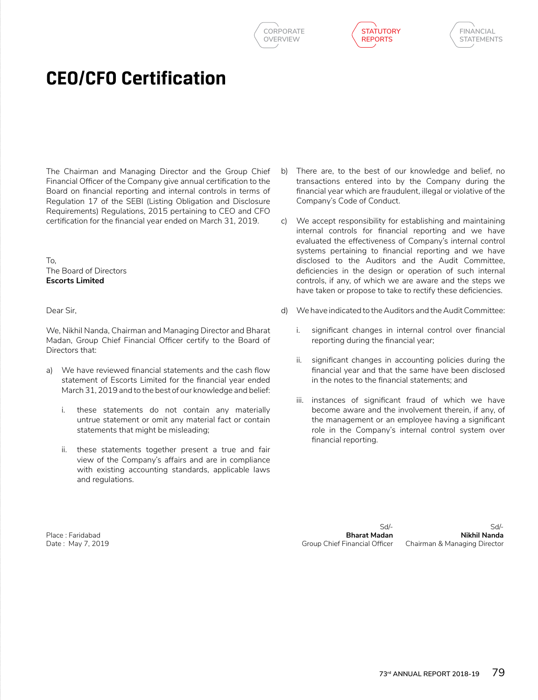





## **CEO/CFO Certification**

The Chairman and Managing Director and the Group Chief Financial Officer of the Company give annual certification to the Board on financial reporting and internal controls in terms of Regulation 17 of the SEBI (Listing Obligation and Disclosure Requirements) Regulations, 2015 pertaining to CEO and CFO certification for the financial year ended on March 31, 2019.

To, The Board of Directors **Escorts Limited**

Dear Sir,

We, Nikhil Nanda, Chairman and Managing Director and Bharat Madan, Group Chief Financial Officer certify to the Board of Directors that:

- a) We have reviewed financial statements and the cash flow statement of Escorts Limited for the financial year ended March 31, 2019 and to the best of our knowledge and belief:
	- i. these statements do not contain any materially untrue statement or omit any material fact or contain statements that might be misleading;
	- ii. these statements together present a true and fair view of the Company's affairs and are in compliance with existing accounting standards, applicable laws and regulations.
- b) There are, to the best of our knowledge and belief, no transactions entered into by the Company during the financial year which are fraudulent, illegal or violative of the Company's Code of Conduct.
- c) We accept responsibility for establishing and maintaining internal controls for financial reporting and we have evaluated the effectiveness of Company's internal control systems pertaining to financial reporting and we have disclosed to the Auditors and the Audit Committee, deficiencies in the design or operation of such internal controls, if any, of which we are aware and the steps we have taken or propose to take to rectify these deficiencies.
- d) We have indicated to the Auditors and the Audit Committee:
	- i. significant changes in internal control over financial reporting during the financial year;
	- ii. significant changes in accounting policies during the financial year and that the same have been disclosed in the notes to the financial statements; and
	- iii. instances of significant fraud of which we have become aware and the involvement therein, if any, of the management or an employee having a significant role in the Company's internal control system over financial reporting.

Place : Faridabad **Bharat Madan Nikhil Nanda** Date : May 7, 2019 Group Chief Financial Officer Chairman & Managing Director

Sd/- Sd/-